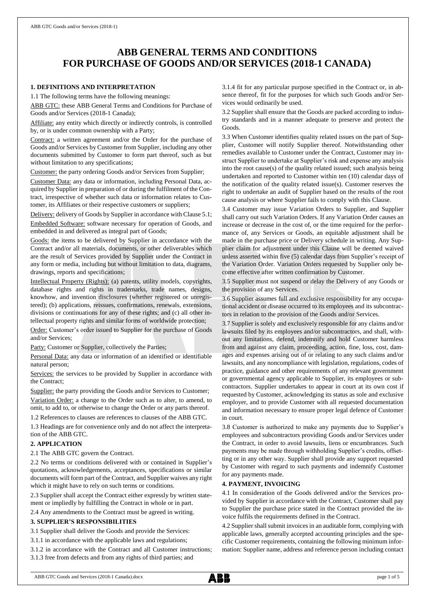# **ABB GENERAL TERMS AND CONDITIONS FOR PURCHASE OF GOODS AND/OR SERVICES (2018-1 CANADA)**

# **1. DEFINITIONS AND INTERPRETATION**

1.1 The following terms have the following meanings:

ABB GTC: these ABB General Terms and Conditions for Purchase of Goods and/or Services (2018-1 Canada);

Affiliate: any entity which directly or indirectly controls, is controlled by, or is under common ownership with a Party;

Contract: a written agreement and/or the Order for the purchase of Goods and/or Services by Customer from Supplier, including any other documents submitted by Customer to form part thereof, such as but without limitation to any specifications;

Customer: the party ordering Goods and/or Services from Supplier;

Customer Data: any data or information, including Personal Data, acquired by Supplier in preparation of or during the fulfilment of the Contract, irrespective of whether such data or information relates to Customer, its Affiliates or their respective customers or suppliers;

Delivery: delivery of Goods by Supplier in accordance with Clause 5.1; Embedded Software: software necessary for operation of Goods, and embedded in and delivered as integral part of Goods;

Goods: the items to be delivered by Supplier in accordance with the Contract and/or all materials, documents, or other deliverables which are the result of Services provided by Supplier under the Contract in any form or media, including but without limitation to data, diagrams, drawings, reports and specifications;

Intellectual Property (Rights): (a) patents, utility models, copyrights, database rights and rights in trademarks, trade names, designs, knowhow, and invention disclosures (whether registered or unregistered); (b) applications, reissues, confirmations, renewals, extensions, divisions or continuations for any of these rights; and (c) all other intellectual property rights and similar forms of worldwide protection;

Order: Customer's order issued to Supplier for the purchase of Goods and/or Services;

Party: Customer or Supplier, collectively the Parties;

Personal Data: any data or information of an identified or identifiable natural person;

Services: the services to be provided by Supplier in accordance with the Contract;

Supplier: the party providing the Goods and/or Services to Customer; Variation Order: a change to the Order such as to alter, to amend, to omit, to add to, or otherwise to change the Order or any parts thereof.

1.2 References to clauses are references to clauses of the ABB GTC.

1.3 Headings are for convenience only and do not affect the interpretation of the ABB GTC.

# **2. APPLICATION**

2.1 The ABB GTC govern the Contract.

2.2 No terms or conditions delivered with or contained in Supplier's quotations, acknowledgements, acceptances, specifications or similar documents will form part of the Contract, and Supplier waives any right which it might have to rely on such terms or conditions.

2.3 Supplier shall accept the Contract either expressly by written statement or impliedly by fulfilling the Contract in whole or in part.

2.4 Any amendments to the Contract must be agreed in writing.

# **3. SUPPLIER'S RESPONSIBILITIES**

3.1 Supplier shall deliver the Goods and provide the Services:

3.1.1 in accordance with the applicable laws and regulations;

3.1.2 in accordance with the Contract and all Customer instructions;

3.1.3 free from defects and from any rights of third parties; and

3.1.4 fit for any particular purpose specified in the Contract or, in absence thereof, fit for the purposes for which such Goods and/or Services would ordinarily be used.

3.2 Supplier shall ensure that the Goods are packed according to industry standards and in a manner adequate to preserve and protect the Goods.

3.3 When Customer identifies quality related issues on the part of Supplier, Customer will notify Supplier thereof. Notwithstanding other remedies available to Customer under the Contract, Customer may instruct Supplier to undertake at Supplier's risk and expense any analysis into the root cause(s) of the quality related issued; such analysis being undertaken and reported to Customer within ten (10) calendar days of the notification of the quality related issue(s). Customer reserves the right to undertake an audit of Supplier based on the results of the root cause analysis or where Supplier fails to comply with this Clause.

3.4 Customer may issue Variation Orders to Supplier, and Supplier shall carry out such Variation Orders. If any Variation Order causes an increase or decrease in the cost of, or the time required for the performance of, any Services or Goods, an equitable adjustment shall be made in the purchase price or Delivery schedule in writing. Any Supplier claim for adjustment under this Clause will be deemed waived unless asserted within five (5) calendar days from Supplier's receipt of the Variation Order. Variation Orders requested by Supplier only become effective after written confirmation by Customer.

3.5 Supplier must not suspend or delay the Delivery of any Goods or the provision of any Services.

3.6 Supplier assumes full and exclusive responsibility for any occupational accident or disease occurred to its employees and its subcontractors in relation to the provision of the Goods and/or Services.

3.7 Supplier is solely and exclusively responsible for any claims and/or lawsuits filed by its employees and/or subcontractors, and shall, without any limitations, defend, indemnify and hold Customer harmless from and against any claim, proceeding, action, fine, loss, cost, damages and expenses arising out of or relating to any such claims and/or lawsuits, and any noncompliance with legislation, regulations, codes of practice, guidance and other requirements of any relevant government or governmental agency applicable to Supplier, its employees or subcontractors. Supplier undertakes to appear in court at its own cost if requested by Customer, acknowledging its status as sole and exclusive employer, and to provide Customer with all requested documentation and information necessary to ensure proper legal defence of Customer in court.

3.8 Customer is authorized to make any payments due to Supplier's employees and subcontractors providing Goods and/or Services under the Contract, in order to avoid lawsuits, liens or encumbrances. Such payments may be made through withholding Supplier's credits, offsetting or in any other way. Supplier shall provide any support requested by Customer with regard to such payments and indemnify Customer for any payments made.

# **4. PAYMENT, INVOICING**

4.1 In consideration of the Goods delivered and/or the Services provided by Supplier in accordance with the Contract, Customer shall pay to Supplier the purchase price stated in the Contract provided the invoice fulfils the requirements defined in the Contract.

4.2 Supplier shall submit invoices in an auditable form, complying with applicable laws, generally accepted accounting principles and the specific Customer requirements, containing the following minimum information: Supplier name, address and reference person including contact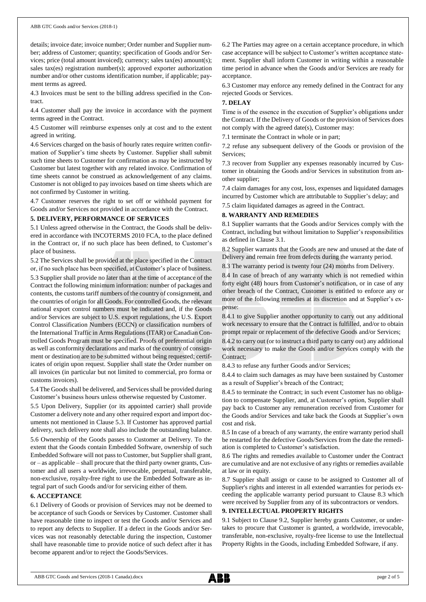details; invoice date; invoice number; Order number and Supplier number; address of Customer; quantity; specification of Goods and/or Services; price (total amount invoiced); currency; sales tax(es) amount(s); sales tax(es) registration number(s); approved exporter authorization number and/or other customs identification number, if applicable; payment terms as agreed.

4.3 Invoices must be sent to the billing address specified in the Contract.

4.4 Customer shall pay the invoice in accordance with the payment terms agreed in the Contract.

4.5 Customer will reimburse expenses only at cost and to the extent agreed in writing.

4.6 Services charged on the basis of hourly rates require written confirmation of Supplier's time sheets by Customer. Supplier shall submit such time sheets to Customer for confirmation as may be instructed by Customer but latest together with any related invoice. Confirmation of time sheets cannot be construed as acknowledgement of any claims. Customer is not obliged to pay invoices based on time sheets which are not confirmed by Customer in writing.

4.7 Customer reserves the right to set off or withhold payment for Goods and/or Services not provided in accordance with the Contract.

# **5. DELIVERY, PERFORMANCE OF SERVICES**

5.1 Unless agreed otherwise in the Contract, the Goods shall be delivered in accordance with INCOTERMS 2010 FCA, to the place defined in the Contract or, if no such place has been defined, to Customer's place of business.

5.2 The Services shall be provided at the place specified in the Contract or, if no such place has been specified, at Customer's place of business. 5.3 Supplier shall provide no later than at the time of acceptance of the Contract the following minimum information: number of packages and contents, the customs tariff numbers of the country of consignment, and the countries of origin for all Goods. For controlled Goods, the relevant national export control numbers must be indicated and, if the Goods and/or Services are subject to U.S. export regulations, the U.S. Export Control Classification Numbers (ECCN) or classification numbers of the International Traffic in Arms Regulations (ITAR) or Canadian Controlled Goods Program must be specified. Proofs of preferential origin as well as conformity declarations and marks of the country of consignment or destination are to be submitted without being requested; certificates of origin upon request. Supplier shall state the Order number on all invoices (in particular but not limited to commercial, pro forma or customs invoices).

5.4 The Goods shall be delivered, and Services shall be provided during Customer's business hours unless otherwise requested by Customer.

5.5 Upon Delivery, Supplier (or its appointed carrier) shall provide Customer a delivery note and any other required export and import documents not mentioned in Clause 5.3. If Customer has approved partial delivery, such delivery note shall also include the outstanding balance.

5.6 Ownership of the Goods passes to Customer at Delivery. To the extent that the Goods contain Embedded Software, ownership of such Embedded Software will not passto Customer, but Supplier shall grant, or – as applicable – shall procure that the third party owner grants, Customer and all users a worldwide, irrevocable, perpetual, transferable, non-exclusive, royalty-free right to use the Embedded Software as integral part of such Goods and/or for servicing either of them.

# **6. ACCEPTANCE**

6.1 Delivery of Goods or provision of Services may not be deemed to be acceptance of such Goods or Services by Customer. Customer shall have reasonable time to inspect or test the Goods and/or Services and to report any defects to Supplier. If a defect in the Goods and/or Services was not reasonably detectable during the inspection, Customer shall have reasonable time to provide notice of such defect after it has become apparent and/or to reject the Goods/Services.

6.2 The Parties may agree on a certain acceptance procedure, in which case acceptance will be subject to Customer's written acceptance statement. Supplier shall inform Customer in writing within a reasonable time period in advance when the Goods and/or Services are ready for acceptance.

6.3 Customer may enforce any remedy defined in the Contract for any rejected Goods or Services.

# **7. DELAY**

Time is of the essence in the execution of Supplier's obligations under the Contract. If the Delivery of Goods or the provision of Services does not comply with the agreed date(s), Customer may:

7.1 terminate the Contract in whole or in part;

7.2 refuse any subsequent delivery of the Goods or provision of the Services;

7.3 recover from Supplier any expenses reasonably incurred by Customer in obtaining the Goods and/or Services in substitution from another supplier;

7.4 claim damages for any cost, loss, expenses and liquidated damages incurred by Customer which are attributable to Supplier's delay; and

7.5 claim liquidated damages as agreed in the Contract.

# **8. WARRANTY AND REMEDIES**

8.1 Supplier warrants that the Goods and/or Services comply with the Contract, including but without limitation to Supplier's responsibilities as defined in Clause 3.1.

8.2 Supplier warrants that the Goods are new and unused at the date of Delivery and remain free from defects during the warranty period.

8.3 The warranty period is twenty four (24) months from Delivery.

8.4 In case of breach of any warranty which is not remedied within forty eight (48) hours from Customer's notification, or in case of any other breach of the Contract, Customer is entitled to enforce any or more of the following remedies at its discretion and at Supplier's expense:

8.4.1 to give Supplier another opportunity to carry out any additional work necessary to ensure that the Contract is fulfilled, and/or to obtain prompt repair or replacement of the defective Goods and/or Services;

8.4.2 to carry out (or to instruct a third party to carry out) any additional work necessary to make the Goods and/or Services comply with the Contract;

8.4.3 to refuse any further Goods and/or Services;

8.4.4 to claim such damages as may have been sustained by Customer as a result of Supplier's breach of the Contract;

8.4.5 to terminate the Contract; in such event Customer has no obligation to compensate Supplier, and, at Customer's option, Supplier shall pay back to Customer any remuneration received from Customer for the Goods and/or Services and take back the Goods at Supplier's own cost and risk.

8.5 In case of a breach of any warranty, the entire warranty period shall be restarted for the defective Goods/Services from the date the remediation is completed to Customer's satisfaction.

8.6 The rights and remedies available to Customer under the Contract are cumulative and are not exclusive of any rights or remedies available at law or in equity.

8.7 Supplier shall assign or cause to be assigned to Customer all of Supplier's rights and interest in all extended warranties for periods exceeding the applicable warranty period pursuant to Clause 8.3 which were received by Supplier from any of its subcontractors or vendors.

# **9. INTELLECTUAL PROPERTY RIGHTS**

9.1 Subject to Clause 9.2, Supplier hereby grants Customer, or undertakes to procure that Customer is granted, a worldwide, irrevocable, transferable, non-exclusive, royalty-free license to use the Intellectual Property Rights in the Goods, including Embedded Software, if any.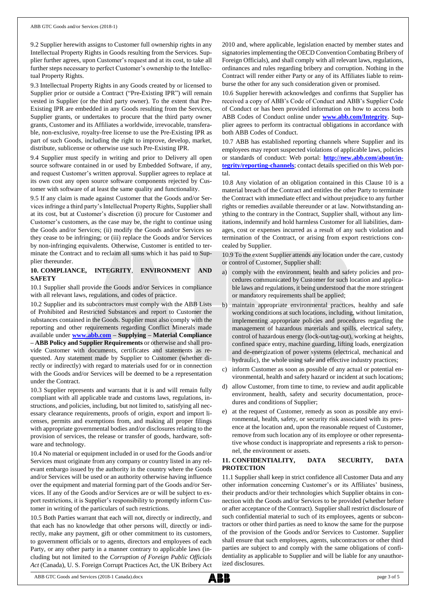9.2 Supplier herewith assigns to Customer full ownership rights in any Intellectual Property Rights in Goods resulting from the Services. Supplier further agrees, upon Customer's request and at its cost, to take all further steps necessary to perfect Customer's ownership to the Intellectual Property Rights.

9.3 Intellectual Property Rights in any Goods created by or licensed to Supplier prior or outside a Contract ("Pre-Existing IPR") will remain vested in Supplier (or the third party owner). To the extent that Pre-Existing IPR are embedded in any Goods resulting from the Services, Supplier grants, or undertakes to procure that the third party owner grants, Customer and its Affiliates a worldwide, irrevocable, transferable, non-exclusive, royalty-free license to use the Pre-Existing IPR as part of such Goods, including the right to improve, develop, market, distribute, sublicense or otherwise use such Pre-Existing IPR.

9.4 Supplier must specify in writing and prior to Delivery all open source software contained in or used by Embedded Software, if any, and request Customer's written approval. Supplier agrees to replace at its own cost any open source software components rejected by Customer with software of at least the same quality and functionality.

9.5 If any claim is made against Customer that the Goods and/or Services infringe a third party's Intellectual Property Rights, Supplier shall at its cost, but at Customer's discretion (i) procure for Customer and Customer's customers, as the case may be, the right to continue using the Goods and/or Services; (ii) modify the Goods and/or Services so they cease to be infringing; or (iii) replace the Goods and/or Services by non-infringing equivalents. Otherwise, Customer is entitled to terminate the Contract and to reclaim all sums which it has paid to Supplier thereunder.

# **10. COMPLIANCE, INTEGRITY**, **ENVIRONMENT AND SAFETY**

10.1 Supplier shall provide the Goods and/or Services in compliance with all relevant laws, regulations, and codes of practice.

10.2 Supplier and its subcontractors must comply with the ABB Lists of Prohibited and Restricted Substances and report to Customer the substances contained in the Goods. Supplier must also comply with the reporting and other requirements regarding Conflict Minerals made available under **[www.abb.com](http://www.abb.com/) – Supplying – Material Compliance – ABB Policy and Supplier Requirements** or otherwise and shall provide Customer with documents, certificates and statements as requested. Any statement made by Supplier to Customer (whether directly or indirectly) with regard to materials used for or in connection with the Goods and/or Services will be deemed to be a representation under the Contract.

10.3 Supplier represents and warrants that it is and will remain fully compliant with all applicable trade and customs laws, regulations, instructions, and policies, including, but not limited to, satisfying all necessary clearance requirements, proofs of origin, export and import licenses, permits and exemptions from, and making all proper filings with appropriate governmental bodies and/or disclosures relating to the provision of services, the release or transfer of goods, hardware, software and technology.

10.4 No material or equipment included in or used for the Goods and/or Services must originate from any company or country listed in any relevant embargo issued by the authority in the country where the Goods and/or Services will be used or an authority otherwise having influence over the equipment and material forming part of the Goods and/or Services. If any of the Goods and/or Services are or will be subject to export restrictions, it is Supplier's responsibility to promptly inform Customer in writing of the particulars of such restrictions.

10.5 Both Parties warrant that each will not, directly or indirectly, and that each has no knowledge that other persons will, directly or indirectly, make any payment, gift or other commitment to its customers, to government officials or to agents, directors and employees of each Party, or any other party in a manner contrary to applicable laws (including but not limited to the *Corruption of Foreign Public Officials Act* (Canada), U. S. Foreign Corrupt Practices Act, the UK Bribery Act 2010 and, where applicable, legislation enacted by member states and signatories implementing the OECD Convention Combating Bribery of Foreign Officials), and shall comply with all relevant laws, regulations, ordinances and rules regarding bribery and corruption. Nothing in the Contract will render either Party or any of its Affiliates liable to reimburse the other for any such consideration given or promised.

10.6 Supplier herewith acknowledges and confirms that Supplier has received a copy of ABB's Code of Conduct and ABB's Supplier Code of Conduct or has been provided information on how to access both ABB Codes of Conduct online under **[www.abb.com/Integrity](http://www.abb.com/Integrity)**. Supplier agrees to perform its contractual obligations in accordance with both ABB Codes of Conduct.

10.7 ABB has established reporting channels where Supplier and its employees may report suspected violations of applicable laws, policies or standards of conduct: Web portal: **[http://new.abb.com/about/in](http://new.abb.com/about/integrity/reporting-channels)[tegrity/reporting-channels](http://new.abb.com/about/integrity/reporting-channels)**; contact details specified on this Web portal.

10.8 Any violation of an obligation contained in this Clause 10 is a material breach of the Contract and entitles the other Party to terminate the Contract with immediate effect and without prejudice to any further rights or remedies available thereunder or at law. Notwithstanding anything to the contrary in the Contract, Supplier shall, without any limitations, indemnify and hold harmless Customer for all liabilities, damages, cost or expenses incurred as a result of any such violation and termination of the Contract, or arising from export restrictions concealed by Supplier.

10.9 To the extent Supplier attends any location under the care, custody or control of Customer, Supplier shall:

- a) comply with the environment, health and safety policies and procedures communicated by Customer for such location and applicable laws and regulations, it being understood that the more stringent or mandatory requirements shall be applied;
- b) maintain appropriate environmental practices, healthy and safe working conditions at such locations, including, without limitation, implementing appropriate policies and procedures regarding the management of hazardous materials and spills, electrical safety, control of hazardous energy (lock-out/tag-out), working at heights, confined space entry, machine guarding, lifting loads, energization and de-energization of power systems (electrical, mechanical and hydraulic), the whole using safe and effective industry practices;
- inform Customer as soon as possible of any actual or potential environmental, health and safety hazard or incident at such locations;
- d) allow Customer, from time to time, to review and audit applicable environment, health, safety and security documentation, procedures and conditions of Supplier;
- e) at the request of Customer, remedy as soon as possible any environmental, health, safety, or security risk associated with its presence at the location and, upon the reasonable request of Customer, remove from such location any of its employee or other representative whose conduct is inappropriate and represents a risk to personnel, the environment or assets.

# **11. CONFIDENTIALITY, DATA SECURITY, DATA PROTECTION**

11.1 Supplier shall keep in strict confidence all Customer Data and any other information concerning Customer's or its Affiliates' business, their products and/or their technologies which Supplier obtains in connection with the Goods and/or Services to be provided (whether before or after acceptance of the Contract). Supplier shall restrict disclosure of such confidential material to such of its employees, agents or subcontractors or other third parties as need to know the same for the purpose of the provision of the Goods and/or Services to Customer. Supplier shall ensure that such employees, agents, subcontractors or other third parties are subject to and comply with the same obligations of confidentiality as applicable to Supplier and will be liable for any unauthorized disclosures.

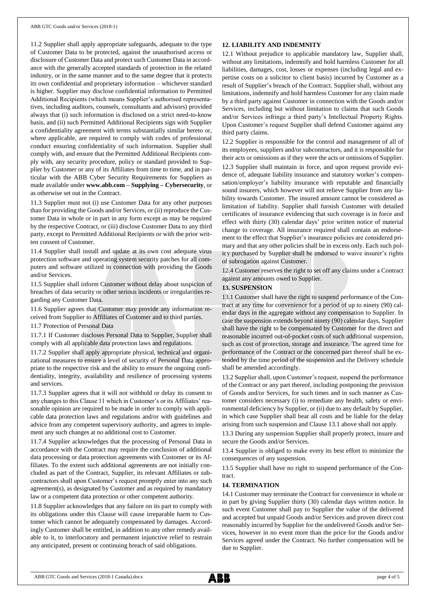11.2 Supplier shall apply appropriate safeguards, adequate to the type of Customer Data to be protected, against the unauthorised access or disclosure of Customer Data and protect such Customer Data in accordance with the generally accepted standards of protection in the related industry, or in the same manner and to the same degree that it protects its own confidential and proprietary information – whichever standard is higher. Supplier may disclose confidential information to Permitted Additional Recipients (which means Supplier's authorised representatives, including auditors, counsels, consultants and advisors) provided always that (i) such information is disclosed on a strict need-to-know basis, and (ii) such Permitted Additional Recipients sign with Supplier a confidentiality agreement with terms substantially similar hereto or, where applicable, are required to comply with codes of professional conduct ensuring confidentiality of such information. Supplier shall comply with, and ensure that the Permitted Additional Recipients comply with, any security procedure, policy or standard provided to Supplier by Customer or any of its Affiliates from time to time, and in particular with the ABB Cyber Security Requirements for Suppliers as made available under **www.abb.com – Supplying – Cybersecurity**, or as otherwise set out in the Contract.

11.3 Supplier must not (i) use Customer Data for any other purposes than for providing the Goods and/or Services, or (ii) reproduce the Customer Data in whole or in part in any form except as may be required by the respective Contract, or (iii) disclose Customer Data to any third party, except to Permitted Additional Recipients or with the prior written consent of Customer.

11.4 Supplier shall install and update at its own cost adequate virus protection software and operating system security patches for all computers and software utilized in connection with providing the Goods and/or Services.

11.5 Supplier shall inform Customer without delay about suspicion of breaches of data security or other serious incidents or irregularities regarding any Customer Data.

11.6 Supplier agrees that Customer may provide any information received from Supplier to Affiliates of Customer and to third parties.

11.7 Protection of Personal Data

11.7.1 If Customer discloses Personal Data to Supplier, Supplier shall comply with all applicable data protection laws and regulations.

11.7.2 Supplier shall apply appropriate physical, technical and organizational measures to ensure a level of security of Personal Data appropriate to the respective risk and the ability to ensure the ongoing confidentiality, integrity, availability and resilience of processing systems and services.

11.7.3 Supplier agrees that it will not withhold or delay its consent to any changes to this Clause 11 which in Customer's or its Affiliates' reasonable opinion are required to be made in order to comply with applicable data protection laws and regulations and/or with guidelines and advice from any competent supervisory authority, and agrees to implement any such changes at no additional cost to Customer.

11.7.4 Supplier acknowledges that the processing of Personal Data in accordance with the Contract may require the conclusion of additional data processing or data protection agreements with Customer or its Affiliates. To the extent such additional agreements are not initially concluded as part of the Contract, Supplier, its relevant Affiliates or subcontractors shall upon Customer's request promptly enter into any such agreement(s), as designated by Customer and as required by mandatory law or a competent data protection or other competent authority.

11.8 Supplier acknowledges that any failure on its part to comply with its obligations under this Clause will cause irreparable harm to Customer which cannot be adequately compensated by damages. Accordingly Customer shall be entitled, in addition to any other remedy available to it, to interlocutory and permanent injunctive relief to restrain any anticipated, present or continuing breach of said obligations.

#### **12. LIABILITY AND INDEMNITY**

12.1 Without prejudice to applicable mandatory law, Supplier shall, without any limitations, indemnify and hold harmless Customer for all liabilities, damages, cost, losses or expenses (including legal and expertise costs on a solicitor to client basis) incurred by Customer as a result of Supplier's breach of the Contract. Supplier shall, without any limitations, indemnify and hold harmless Customer for any claim made by a third party against Customer in connection with the Goods and/or Services, including but without limitation to claims that such Goods and/or Services infringe a third party's Intellectual Property Rights. Upon Customer's request Supplier shall defend Customer against any third party claims.

12.2 Supplier is responsible for the control and management of all of its employees, suppliers and/or subcontractors, and it is responsible for their acts or omissions as if they were the acts or omissions of Supplier. 12.3 Supplier shall maintain in force, and upon request provide evidence of, adequate liability insurance and statutory worker's compensation/employer's liability insurance with reputable and financially sound insurers, which however will not relieve Supplier from any liability towards Customer. The insured amount cannot be considered as limitation of liability. Supplier shall furnish Customer with detailed certificates of insurance evidencing that such coverage is in force and effect with thirty (30) calendar days' prior written notice of material change to coverage. All insurance required shall contain an endorsement to the effect that Supplier's insurance policies are considered primary and that any other policies shall be in excess only. Each such policy purchased by Supplier shall be endorsed to waive insurer's rights of subrogation against Customer.

12.4 Customer reserves the right to set off any claims under a Contract against any amounts owed to Supplier.

# **13. SUSPENSION**

13.1 Customer shall have the right to suspend performance of the Contract at any time for convenience for a period of up to ninety (90) calendar days in the aggregate without any compensation to Supplier. In case the suspension extends beyond ninety (90) calendar days, Supplier shall have the right to be compensated by Customer for the direct and reasonable incurred out-of-pocket costs of such additional suspension, such as cost of protection, storage and insurance. The agreed time for performance of the Contract or the concerned part thereof shall be extended by the time period of the suspension and the Delivery schedule shall be amended accordingly.

13.2 Supplier shall, upon Customer's request, suspend the performance of the Contract or any part thereof, including postponing the provision of Goods and/or Services, for such times and in such manner as Customer considers necessary (i) to remediate any health, safety or environmental deficiency by Supplier, or (ii) due to any default by Supplier, in which case Supplier shall bear all costs and be liable for the delay arising from such suspension and Clause 13.1 above shall not apply.

13.3 During any suspension Supplier shall properly protect, insure and secure the Goods and/or Services.

13.4 Supplier is obliged to make every its best effort to minimize the consequences of any suspension.

13.5 Supplier shall have no right to suspend performance of the Contract.

#### **14. TERMINATION**

14.1 Customer may terminate the Contract for convenience in whole or in part by giving Supplier thirty (30) calendar days written notice. In such event Customer shall pay to Supplier the value of the delivered and accepted but unpaid Goods and/or Services and proven direct cost reasonably incurred by Supplier for the undelivered Goods and/or Services, however in no event more than the price for the Goods and/or Services agreed under the Contract. No further compensation will be due to Supplier.